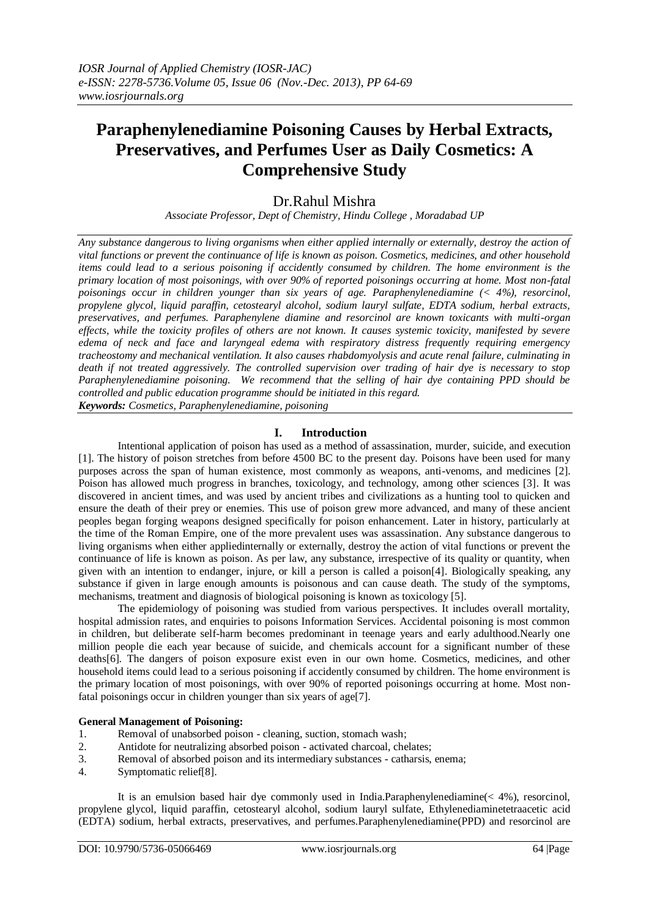# **Paraphenylenediamine Poisoning Causes by Herbal Extracts, Preservatives, and Perfumes User as Daily Cosmetics: A Comprehensive Study**

## Dr.Rahul Mishra

*Associate Professor, Dept of Chemistry, Hindu College , Moradabad UP*

*Any substance dangerous to living organisms when either applied internally or externally, destroy the action of vital functions or prevent the continuance of life is known as poison. Cosmetics, medicines, and other household items could lead to a serious poisoning if accidently consumed by children. The home environment is the primary location of most poisonings, with over 90% of reported poisonings occurring at home. Most non-fatal poisonings occur in children younger than six years of age. Paraphenylenediamine (< 4%), resorcinol, propylene glycol, liquid paraffin, cetostearyl alcohol, sodium lauryl sulfate, EDTA sodium, herbal extracts, preservatives, and perfumes. Paraphenylene diamine and resorcinol are known toxicants with multi-organ effects, while the toxicity profiles of others are not known. It causes systemic toxicity, manifested by severe edema of neck and face and laryngeal edema with respiratory distress frequently requiring emergency tracheostomy and mechanical ventilation. It also causes rhabdomyolysis and acute renal failure, culminating in death if not treated aggressively. The controlled supervision over trading of hair dye is necessary to stop Paraphenylenediamine poisoning. We recommend that the selling of hair dye containing PPD should be controlled and public education programme should be initiated in this regard. Keywords: Cosmetics, Paraphenylenediamine, poisoning*

### **I. Introduction**

Intentional application of poison has used as a method of assassination, murder, suicide, and execution [1]. The history of poison stretches from before 4500 BC to the present day. Poisons have been used for many purposes across the span of human existence, most commonly as weapons, anti-venoms, and medicines [2]. Poison has allowed much progress in branches, toxicology, and technology, among other sciences [3]. It was discovered in ancient times, and was used by ancient tribes and civilizations as a hunting tool to quicken and ensure the death of their prey or enemies. This use of poison grew more advanced, and many of these ancient peoples began forging weapons designed specifically for poison enhancement. Later in history, particularly at the time of the Roman Empire, one of the more prevalent uses was assassination. Any substance dangerous to living organisms when either appliedinternally or externally, destroy the action of vital functions or prevent the continuance of life is known as poison. As per law, any substance, irrespective of its quality or quantity, when given with an intention to endanger, injure, or kill a person is called a poison[4]. Biologically speaking, any substance if given in large enough amounts is poisonous and can cause death. The study of the symptoms, mechanisms, treatment and diagnosis of biological poisoning is known as toxicology [5].

The epidemiology of poisoning was studied from various perspectives. It includes overall mortality, hospital admission rates, and enquiries to poisons Information Services. Accidental poisoning is most common in children, but deliberate self-harm becomes predominant in teenage years and early adulthood.Nearly one million people die each year because of suicide, and chemicals account for a significant number of these deaths[6]. The dangers of poison exposure exist even in our own home. Cosmetics, medicines, and other household items could lead to a serious poisoning if accidently consumed by children. The home environment is the primary location of most poisonings, with over 90% of reported poisonings occurring at home. Most nonfatal poisonings occur in children younger than six years of age[7].

#### **General Management of Poisoning:**

- 1. Removal of unabsorbed poison cleaning, suction, stomach wash;
- 2. Antidote for neutralizing absorbed poison activated charcoal, chelates;
- 3. Removal of absorbed poison and its intermediary substances catharsis, enema;
- 4. Symptomatic relief[8].

It is an emulsion based hair dye commonly used in India.Paraphenylenediamine(< 4%), resorcinol, propylene glycol, liquid paraffin, cetostearyl alcohol, sodium lauryl sulfate, Ethylenediaminetetraacetic acid (EDTA) sodium, herbal extracts, preservatives, and perfumes.Paraphenylenediamine(PPD) and resorcinol are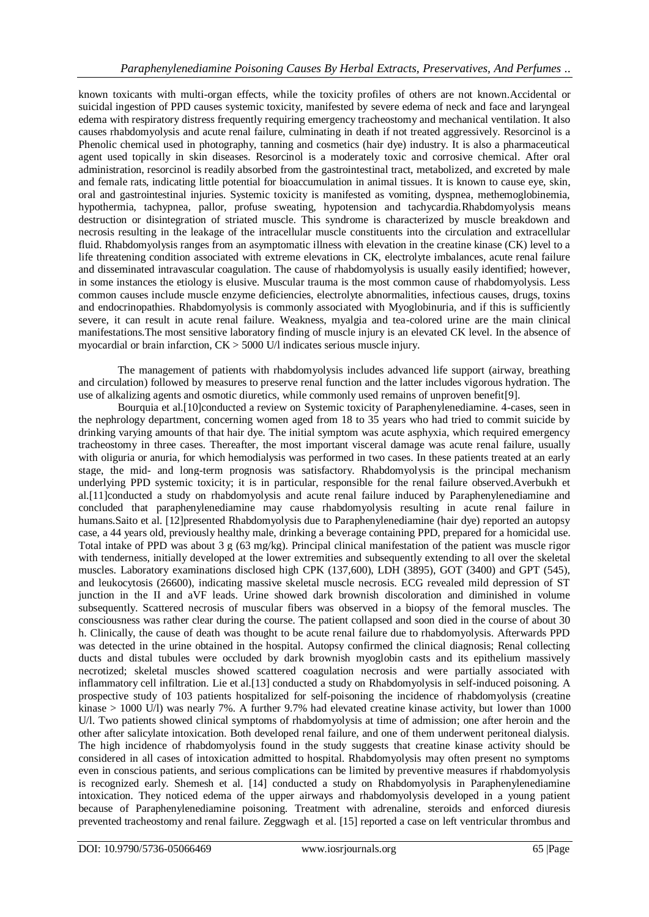known toxicants with multi-organ effects, while the toxicity profiles of others are not known.Accidental or suicidal ingestion of PPD causes systemic toxicity, manifested by severe edema of neck and face and laryngeal edema with respiratory distress frequently requiring emergency tracheostomy and mechanical ventilation. It also causes rhabdomyolysis and acute renal failure, culminating in death if not treated aggressively. Resorcinol is a Phenolic chemical used in photography, tanning and cosmetics (hair dye) industry. It is also a pharmaceutical agent used topically in skin diseases. Resorcinol is a moderately toxic and corrosive chemical. After oral administration, resorcinol is readily absorbed from the gastrointestinal tract, metabolized, and excreted by male and female rats, indicating little potential for bioaccumulation in animal tissues. It is known to cause eye, skin, oral and gastrointestinal injuries. Systemic toxicity is manifested as vomiting, dyspnea, methemoglobinemia, hypothermia, tachypnea, pallor, profuse sweating, hypotension and tachycardia.Rhabdomyolysis means destruction or disintegration of striated muscle. This syndrome is characterized by muscle breakdown and necrosis resulting in the leakage of the intracellular muscle constituents into the circulation and extracellular fluid. Rhabdomyolysis ranges from an asymptomatic illness with elevation in the creatine kinase (CK) level to a life threatening condition associated with extreme elevations in CK, electrolyte imbalances, acute renal failure and disseminated intravascular coagulation. The cause of rhabdomyolysis is usually easily identified; however, in some instances the etiology is elusive. Muscular trauma is the most common cause of rhabdomyolysis. Less common causes include muscle enzyme deficiencies, electrolyte abnormalities, infectious causes, drugs, toxins and endocrinopathies. Rhabdomyolysis is commonly associated with Myoglobinuria, and if this is sufficiently severe, it can result in acute renal failure. Weakness, myalgia and tea-colored urine are the main clinical manifestations.The most sensitive laboratory finding of muscle injury is an elevated CK level. In the absence of myocardial or brain infarction, CK > 5000 U/l indicates serious muscle injury.

The management of patients with rhabdomyolysis includes advanced life support (airway, breathing and circulation) followed by measures to preserve renal function and the latter includes vigorous hydration. The use of alkalizing agents and osmotic diuretics, while commonly used remains of unproven benefit[9].

[Bourquia](http://www.ncbi.nlm.nih.gov/pubmed?term=%22Bourquia%20A%22%5BAuthor%5D) et al.[10]conducted a review on Systemic toxicity of Paraphenylenediamine. 4-cases, seen in the nephrology department, concerning women aged from 18 to 35 years who had tried to commit suicide by drinking varying amounts of that hair dye. The initial symptom was acute asphyxia, which required emergency tracheostomy in three cases. Thereafter, the most important visceral damage was acute renal failure, usually with oliguria or anuria, for which hemodialysis was performed in two cases. In these patients treated at an early stage, the mid- and long-term prognosis was satisfactory. Rhabdomyolysis is the principal mechanism underlying PPD systemic toxicity; it is in particular, responsible for the renal failure observed.Averbukh et al.[11]conducted a study on rhabdomyolysis and acute renal failure induced by Paraphenylenediamine and concluded that paraphenylenediamine may cause rhabdomyolysis resulting in acute renal failure in humans.Saito et al. [12]presented Rhabdomyolysis due to Paraphenylenediamine (hair dye) reported an autopsy case, a 44 years old, previously healthy male, drinking a beverage containing PPD, prepared for a homicidal use. Total intake of PPD was about 3 g (63 mg/kg). Principal clinical manifestation of the patient was muscle rigor with tenderness, initially developed at the lower extremities and subsequently extending to all over the skeletal muscles. Laboratory examinations disclosed high CPK (137,600), LDH (3895), GOT (3400) and GPT (545), and leukocytosis (26600), indicating massive skeletal muscle necrosis. ECG revealed mild depression of ST junction in the II and aVF leads. Urine showed dark brownish discoloration and diminished in volume subsequently. Scattered necrosis of muscular fibers was observed in a biopsy of the femoral muscles. The consciousness was rather clear during the course. The patient collapsed and soon died in the course of about 30 h. Clinically, the cause of death was thought to be acute renal failure due to rhabdomyolysis. Afterwards PPD was detected in the urine obtained in the hospital. Autopsy confirmed the clinical diagnosis; Renal collecting ducts and distal tubules were occluded by dark brownish myoglobin casts and its epithelium massively necrotized; skeletal muscles showed scattered coagulation necrosis and were partially associated with inflammatory cell infiltration. Lie et al.[13] conducted a study on Rhabdomyolysis in self-induced poisoning. A prospective study of 103 patients hospitalized for self-poisoning the incidence of rhabdomyolysis (creatine kinase > 1000 U/l) was nearly 7%. A further 9.7% had elevated creatine kinase activity, but lower than 1000 U/l. Two patients showed clinical symptoms of rhabdomyolysis at time of admission; one after heroin and the other after salicylate intoxication. Both developed renal failure, and one of them underwent peritoneal dialysis. The high incidence of rhabdomyolysis found in the study suggests that creatine kinase activity should be considered in all cases of intoxication admitted to hospital. Rhabdomyolysis may often present no symptoms even in conscious patients, and serious complications can be limited by preventive measures if rhabdomyolysis is recognized early. Shemesh et al. [14] conducted a study on Rhabdomyolysis in Paraphenylenediamine intoxication. They noticed edema of the upper airways and rhabdomyolysis developed in a young patient because of Paraphenylenediamine poisoning. Treatment with adrenaline, steroids and enforced diuresis prevented tracheostomy and renal failure. Zeggwagh et al. [15] reported a case on left ventricular thrombus and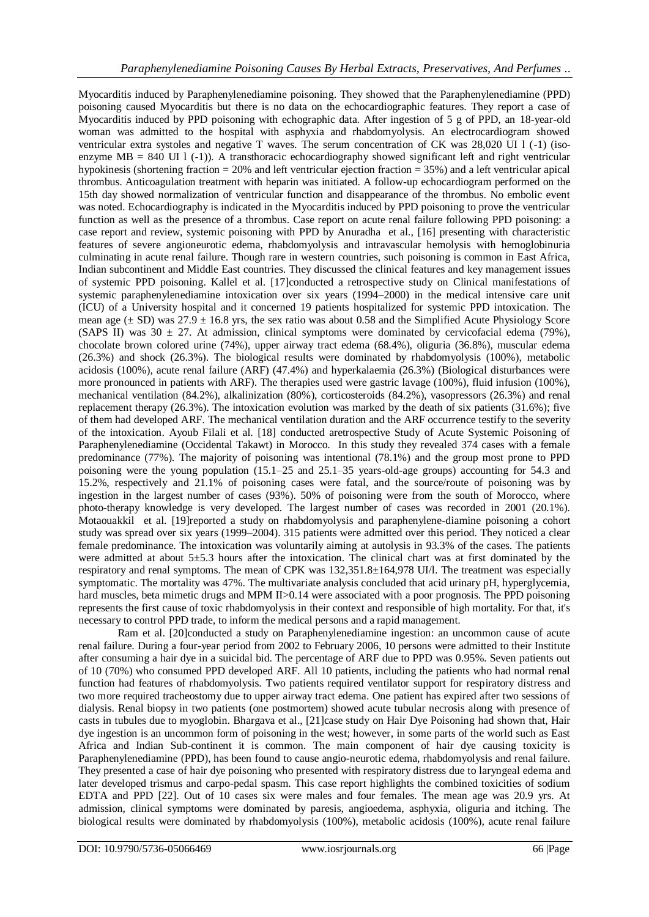Myocarditis induced by Paraphenylenediamine poisoning. They showed that the Paraphenylenediamine (PPD) poisoning caused Myocarditis but there is no data on the echocardiographic features. They report a case of Myocarditis induced by PPD poisoning with echographic data. After ingestion of 5 g of PPD, an 18-year-old woman was admitted to the hospital with asphyxia and rhabdomyolysis. An electrocardiogram showed ventricular extra systoles and negative T waves. The serum concentration of CK was 28,020 UI l (-1) (isoenzyme  $MB = 840$  UI l (-1)). A transthoracic echocardiography showed significant left and right ventricular hypokinesis (shortening fraction  $= 20\%$  and left ventricular ejection fraction  $= 35\%$ ) and a left ventricular apical thrombus. Anticoagulation treatment with heparin was initiated. A follow-up echocardiogram performed on the 15th day showed normalization of ventricular function and disappearance of the thrombus. No embolic event was noted. Echocardiography is indicated in the Myocarditis induced by PPD poisoning to prove the ventricular function as well as the presence of a thrombus. Case report on acute renal failure following PPD poisoning: a case report and review, systemic poisoning with PPD by Anuradha et al., [16] presenting with characteristic features of severe angioneurotic edema, rhabdomyolysis and intravascular hemolysis with hemoglobinuria culminating in acute renal failure. Though rare in western countries, such poisoning is common in East Africa, Indian subcontinent and Middle East countries. They discussed the clinical features and key management issues of systemic PPD poisoning. Kallel et al. [17]conducted a retrospective study on Clinical manifestations of systemic paraphenylenediamine intoxication over six years (1994–2000) in the medical intensive care unit (ICU) of a University hospital and it concerned 19 patients hospitalized for systemic PPD intoxication. The mean age  $(\pm$  SD) was 27.9  $\pm$  16.8 yrs, the sex ratio was about 0.58 and the Simplified Acute Physiology Score (SAPS II) was  $30 \pm 27$ . At admission, clinical symptoms were dominated by cervicofacial edema (79%), chocolate brown colored urine (74%), upper airway tract edema (68.4%), oliguria (36.8%), muscular edema (26.3%) and shock (26.3%). The biological results were dominated by rhabdomyolysis (100%), metabolic acidosis (100%), acute renal failure (ARF) (47.4%) and hyperkalaemia (26.3%) (Biological disturbances were more pronounced in patients with ARF). The therapies used were gastric lavage (100%), fluid infusion (100%), mechanical ventilation (84.2%), alkalinization (80%), corticosteroids (84.2%), vasopressors (26.3%) and renal replacement therapy (26.3%). The intoxication evolution was marked by the death of six patients (31.6%); five of them had developed ARF. The mechanical ventilation duration and the ARF occurrence testify to the severity of the intoxication. Ayoub Filali et al. [18] conducted aretrospective Study of Acute Systemic Poisoning of Paraphenylenediamine (Occidental Takawt) in Morocco. In this study they revealed 374 cases with a female predominance (77%). The majority of poisoning was intentional (78.1%) and the group most prone to PPD poisoning were the young population (15.1–25 and 25.1–35 years-old-age groups) accounting for 54.3 and 15.2%, respectively and 21.1% of poisoning cases were fatal, and the source/route of poisoning was by ingestion in the largest number of cases (93%). 50% of poisoning were from the south of Morocco, where photo-therapy knowledge is very developed. The largest number of cases was recorded in 2001 (20.1%). Motaouakkil et al. [19]reported a study on rhabdomyolysis and paraphenylene-diamine poisoning a cohort study was spread over six years (1999–2004). 315 patients were admitted over this period. They noticed a clear female predominance. The intoxication was voluntarily aiming at autolysis in 93.3% of the cases. The patients were admitted at about 5±5.3 hours after the intoxication. The clinical chart was at first dominated by the respiratory and renal symptoms. The mean of CPK was 132,351.8±164,978 UI/l. The treatment was especially symptomatic. The mortality was 47%. The multivariate analysis concluded that acid urinary pH, hyperglycemia, hard muscles, beta mimetic drugs and MPM II $> 0.14$  were associated with a poor prognosis. The PPD poisoning represents the first cause of toxic rhabdomyolysis in their context and responsible of high mortality. For that, it's necessary to control PPD trade, to inform the medical persons and a rapid management.

Ram et al. [20]conducted a study on Paraphenylenediamine ingestion: an uncommon cause of acute renal failure. During a four-year period from 2002 to February 2006, 10 persons were admitted to their Institute after consuming a hair dye in a suicidal bid. The percentage of ARF due to PPD was 0.95%. Seven patients out of 10 (70%) who consumed PPD developed ARF. All 10 patients, including the patients who had normal renal function had features of rhabdomyolysis. Two patients required ventilator support for respiratory distress and two more required tracheostomy due to upper airway tract edema. One patient has expired after two sessions of dialysis. Renal biopsy in two patients (one postmortem) showed acute tubular necrosis along with presence of casts in tubules due to myoglobin. Bhargava et al., [21]case study on Hair Dye Poisoning had shown that, Hair dye ingestion is an uncommon form of poisoning in the west; however, in some parts of the world such as East Africa and Indian Sub-continent it is common. The main component of hair dye causing toxicity is Paraphenylenediamine (PPD), has been found to cause angio-neurotic edema, rhabdomyolysis and renal failure. They presented a case of hair dye poisoning who presented with respiratory distress due to laryngeal edema and later developed trismus and carpo-pedal spasm. This case report highlights the combined toxicities of sodium EDTA and PPD [22]. Out of 10 cases six were males and four females. The mean age was 20.9 yrs. At admission, clinical symptoms were dominated by paresis, angioedema, asphyxia, oliguria and itching. The biological results were dominated by rhabdomyolysis (100%), metabolic acidosis (100%), acute renal failure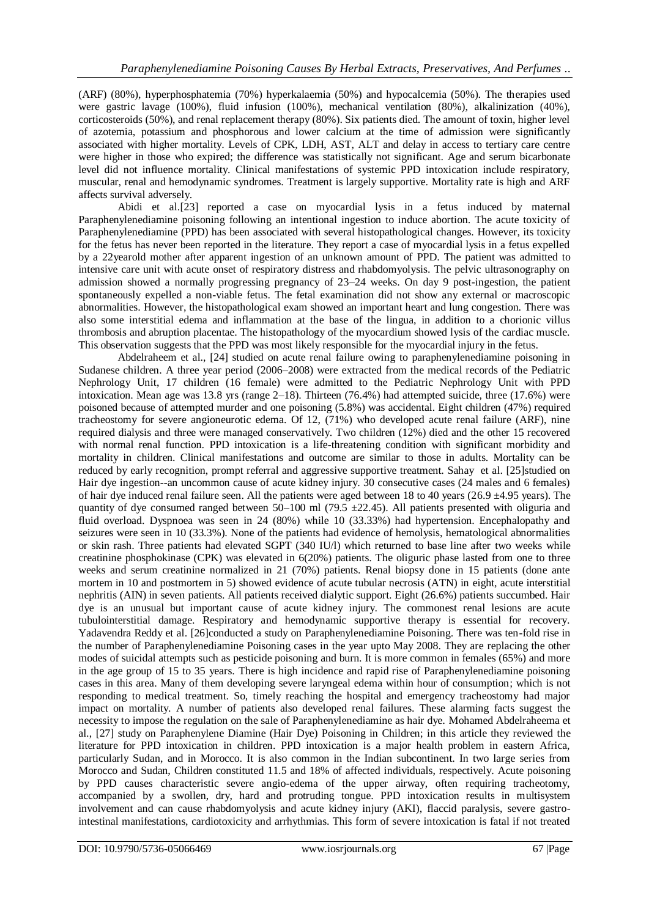(ARF) (80%), hyperphosphatemia (70%) hyperkalaemia (50%) and hypocalcemia (50%). The therapies used were gastric lavage (100%), fluid infusion (100%), mechanical ventilation (80%), alkalinization (40%), corticosteroids (50%), and renal replacement therapy (80%). Six patients died. The amount of toxin, higher level of azotemia, potassium and phosphorous and lower calcium at the time of admission were significantly associated with higher mortality. Levels of CPK, LDH, AST, ALT and delay in access to tertiary care centre were higher in those who expired; the difference was statistically not significant. Age and serum bicarbonate level did not influence mortality. Clinical manifestations of systemic PPD intoxication include respiratory, muscular, renal and hemodynamic syndromes. Treatment is largely supportive. Mortality rate is high and ARF affects survival adversely.

Abidi et al.[23] reported a case on myocardial lysis in a fetus induced by maternal Paraphenylenediamine poisoning following an intentional ingestion to induce abortion. The acute toxicity of Paraphenylenediamine (PPD) has been associated with several histopathological changes. However, its toxicity for the fetus has never been reported in the literature. They report a case of myocardial lysis in a fetus expelled by a 22yearold mother after apparent ingestion of an unknown amount of PPD. The patient was admitted to intensive care unit with acute onset of respiratory distress and rhabdomyolysis. The pelvic ultrasonography on admission showed a normally progressing pregnancy of 23–24 weeks. On day 9 post-ingestion, the patient spontaneously expelled a non-viable fetus. The fetal examination did not show any external or macroscopic abnormalities. However, the histopathological exam showed an important heart and lung congestion. There was also some interstitial edema and inflammation at the base of the lingua, in addition to a chorionic villus thrombosis and abruption placentae. The histopathology of the myocardium showed lysis of the cardiac muscle. This observation suggests that the PPD was most likely responsible for the myocardial injury in the fetus.

Abdelraheem et al., [24] studied on acute renal failure owing to paraphenylenediamine poisoning in Sudanese children. A three year period (2006–2008) were extracted from the medical records of the Pediatric Nephrology Unit, 17 children (16 female) were admitted to the Pediatric Nephrology Unit with PPD intoxication. Mean age was 13.8 yrs (range 2–18). Thirteen (76.4%) had attempted suicide, three (17.6%) were poisoned because of attempted murder and one poisoning (5.8%) was accidental. Eight children (47%) required tracheostomy for severe angioneurotic edema. Of 12, (71%) who developed acute renal failure (ARF), nine required dialysis and three were managed conservatively. Two children (12%) died and the other 15 recovered with normal renal function. PPD intoxication is a life-threatening condition with significant morbidity and mortality in children. Clinical manifestations and outcome are similar to those in adults. Mortality can be reduced by early recognition, prompt referral and aggressive supportive treatment. Sahay et al. [25]studied on Hair dye ingestion--an uncommon cause of acute kidney injury. 30 consecutive cases (24 males and 6 females) of hair dye induced renal failure seen. All the patients were aged between 18 to 40 years (26.9  $\pm$ 4.95 years). The quantity of dye consumed ranged between 50–100 ml (79.5  $\pm$ 22.45). All patients presented with oliguria and fluid overload. Dyspnoea was seen in 24 (80%) while 10 (33.33%) had hypertension. Encephalopathy and seizures were seen in 10 (33.3%). None of the patients had evidence of hemolysis, hematological abnormalities or skin rash. Three patients had elevated SGPT (340 IU/l) which returned to base line after two weeks while creatinine phosphokinase (CPK) was elevated in 6(20%) patients. The oliguric phase lasted from one to three weeks and serum creatinine normalized in 21 (70%) patients. Renal biopsy done in 15 patients (done ante mortem in 10 and postmortem in 5) showed evidence of acute tubular necrosis (ATN) in eight, acute interstitial nephritis (AIN) in seven patients. All patients received dialytic support. Eight (26.6%) patients succumbed. Hair dye is an unusual but important cause of acute kidney injury. The commonest renal lesions are acute tubulointerstitial damage. Respiratory and hemodynamic supportive therapy is essential for recovery. Yadavendra Reddy et al. [26]conducted a study on Paraphenylenediamine Poisoning. There was ten-fold rise in the number of Paraphenylenediamine Poisoning cases in the year upto May 2008. They are replacing the other modes of suicidal attempts such as pesticide poisoning and burn. It is more common in females (65%) and more in the age group of 15 to 35 years. There is high incidence and rapid rise of Paraphenylenediamine poisoning cases in this area. Many of them developing severe laryngeal edema within hour of consumption; which is not responding to medical treatment. So, timely reaching the hospital and emergency tracheostomy had major impact on mortality. A number of patients also developed renal failures. These alarming facts suggest the necessity to impose the regulation on the sale of Paraphenylenediamine as hair dye. Mohamed Abdelraheema et al., [27] study on Paraphenylene Diamine (Hair Dye) Poisoning in Children; in this article they reviewed the literature for PPD intoxication in children. PPD intoxication is a major health problem in eastern Africa, particularly Sudan, and in Morocco. It is also common in the Indian subcontinent. In two large series from Morocco and Sudan, Children constituted 11.5 and 18% of affected individuals, respectively. Acute poisoning by PPD causes characteristic severe angio-edema of the upper airway, often requiring tracheotomy, accompanied by a swollen, dry, hard and protruding tongue. PPD intoxication results in multisystem involvement and can cause rhabdomyolysis and acute kidney injury (AKI), flaccid paralysis, severe gastrointestinal manifestations, cardiotoxicity and arrhythmias. This form of severe intoxication is fatal if not treated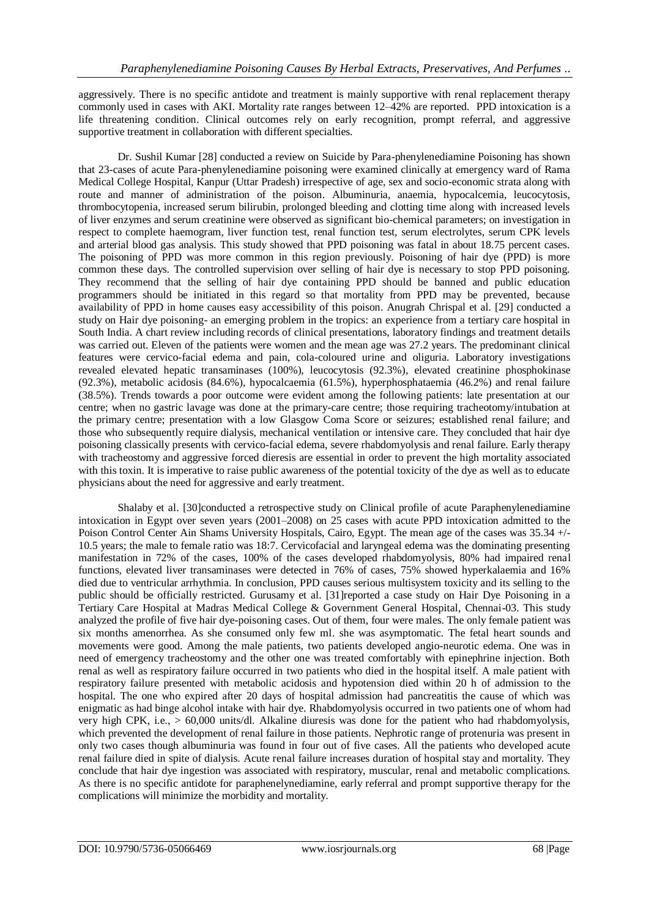aggressively. There is no specific antidote and treatment is mainly supportive with renal replacement therapy commonly used in cases with AKI. Mortality rate ranges between 12–42% are reported. PPD intoxication is a life threatening condition. Clinical outcomes rely on early recognition, prompt referral, and aggressive supportive treatment in collaboration with different specialties.

Dr. Sushil Kumar [28] conducted a review on Suicide by Para-phenylenediamine Poisoning has shown that 23-cases of acute Para-phenylenediamine poisoning were examined clinically at emergency ward of Rama Medical College Hospital, Kanpur (Uttar Pradesh) irrespective of age, sex and socio-economic strata along with route and manner of administration of the poison. Albuminuria, anaemia, hypocalcemia, leucocytosis, thrombocytopenia, increased serum bilirubin, prolonged bleeding and clotting time along with increased levels of liver enzymes and serum creatinine were observed as significant bio-chemical parameters; on investigation in respect to complete haemogram, liver function test, renal function test, serum electrolytes, serum CPK levels and arterial blood gas analysis. This study showed that PPD poisoning was fatal in about 18.75 percent cases. The poisoning of PPD was more common in this region previously. Poisoning of hair dye (PPD) is more common these days. The controlled supervision over selling of hair dye is necessary to stop PPD poisoning. They recommend that the selling of hair dye containing PPD should be banned and public education programmers should be initiated in this regard so that mortality from PPD may be prevented, because availability of PPD in home causes easy accessibility of this poison. Anugrah Chrispal et al. [29] conducted a study on Hair dye poisoning- an emerging problem in the tropics: an experience from a tertiary care hospital in South India. A chart review including records of clinical presentations, laboratory findings and treatment details was carried out. Eleven of the patients were women and the mean age was 27.2 years. The predominant clinical features were cervico-facial edema and pain, cola-coloured urine and oliguria. Laboratory investigations revealed elevated hepatic transaminases (100%), leucocytosis (92.3%), elevated creatinine phosphokinase (92.3%), metabolic acidosis (84.6%), hypocalcaemia (61.5%), hyperphosphataemia (46.2%) and renal failure (38.5%). Trends towards a poor outcome were evident among the following patients: late presentation at our centre; when no gastric lavage was done at the primary-care centre; those requiring tracheotomy/intubation at the primary centre; presentation with a low Glasgow Coma Score or seizures; established renal failure; and those who subsequently require dialysis, mechanical ventilation or intensive care. They concluded that hair dye poisoning classically presents with cervico-facial edema, severe rhabdomyolysis and renal failure. Early therapy with tracheostomy and aggressive forced dieresis are essential in order to prevent the high mortality associated with this toxin. It is imperative to raise public awareness of the potential toxicity of the dye as well as to educate physicians about the need for aggressive and early treatment.

Shalaby et al. [30]conducted a retrospective study on Clinical profile of acute Paraphenylenediamine intoxication in Egypt over seven years (2001–2008) on 25 cases with acute PPD intoxication admitted to the Poison Control Center Ain Shams University Hospitals, Cairo, Egypt. The mean age of the cases was 35.34 +/- 10.5 years; the male to female ratio was 18:7. Cervicofacial and laryngeal edema was the dominating presenting manifestation in 72% of the cases, 100% of the cases developed rhabdomyolysis, 80% had impaired renal functions, elevated liver transaminases were detected in 76% of cases, 75% showed hyperkalaemia and 16% died due to ventricular arrhythmia. In conclusion, PPD causes serious multisystem toxicity and its selling to the public should be officially restricted. Gurusamy et al. [31]reported a case study on Hair Dye Poisoning in a Tertiary Care Hospital at Madras Medical College & Government General Hospital, Chennai-03. This study analyzed the profile of five hair dye-poisoning cases. Out of them, four were males. The only female patient was six months amenorrhea. As she consumed only few ml. she was asymptomatic. The fetal heart sounds and movements were good. Among the male patients, two patients developed angio-neurotic edema. One was in need of emergency tracheostomy and the other one was treated comfortably with epinephrine injection. Both renal as well as respiratory failure occurred in two patients who died in the hospital itself. A male patient with respiratory failure presented with metabolic acidosis and hypotension died within 20 h of admission to the hospital. The one who expired after 20 days of hospital admission had pancreatitis the cause of which was enigmatic as had binge alcohol intake with hair dye. Rhabdomyolysis occurred in two patients one of whom had very high CPK, i.e., > 60,000 units/dl. Alkaline diuresis was done for the patient who had rhabdomyolysis, which prevented the development of renal failure in those patients. Nephrotic range of protenuria was present in only two cases though albuminuria was found in four out of five cases. All the patients who developed acute renal failure died in spite of dialysis. Acute renal failure increases duration of hospital stay and mortality. They conclude that hair dye ingestion was associated with respiratory, muscular, renal and metabolic complications. As there is no specific antidote for paraphenelynediamine, early referral and prompt supportive therapy for the complications will minimize the morbidity and mortality.